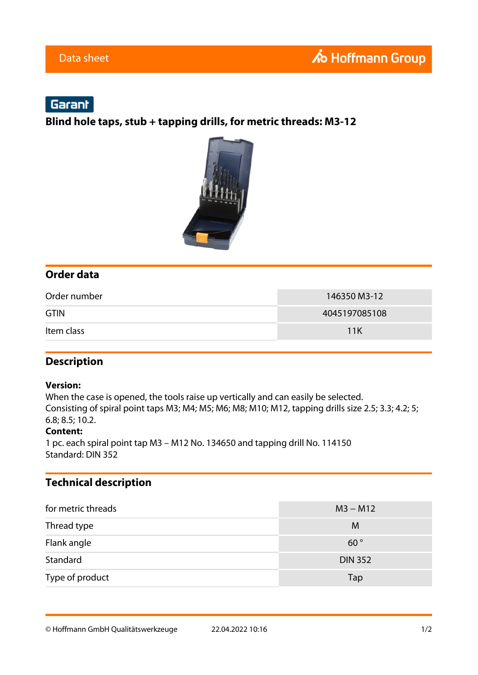# Garant

**Blind hole taps, stub + tapping drills, for metric threads: M3-12**



### **Order data**

| Order number | 146350 M3-12  |
|--------------|---------------|
| <b>GTIN</b>  | 4045197085108 |
| Item class   | 11K           |

### **Description**

#### **Version:**

When the case is opened, the tools raise up vertically and can easily be selected. Consisting of spiral point taps M3; M4; M5; M6; M8; M10; M12, tapping drills size 2.5; 3.3; 4.2; 5; 6.8; 8.5; 10.2.

#### **Content:**

1 pc. each spiral point tap M3 – M12 No. 134650 and tapping drill No. 114150 Standard: DIN 352

### **Technical description**

| for metric threads | $M3 - M12$     |
|--------------------|----------------|
| Thread type        | M              |
| Flank angle        | $60^{\circ}$   |
| Standard           | <b>DIN 352</b> |
| Type of product    | Tap            |